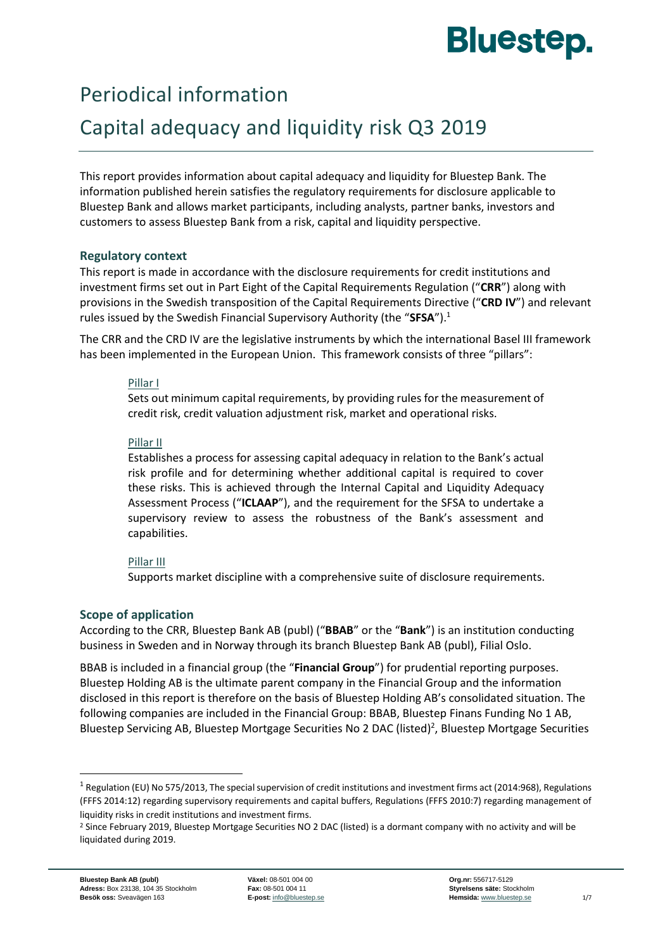# **Bluestep.**

## Periodical information

# Capital adequacy and liquidity risk Q3 2019

This report provides information about capital adequacy and liquidity for Bluestep Bank. The information published herein satisfies the regulatory requirements for disclosure applicable to Bluestep Bank and allows market participants, including analysts, partner banks, investors and customers to assess Bluestep Bank from a risk, capital and liquidity perspective.

#### **Regulatory context**

This report is made in accordance with the disclosure requirements for credit institutions and investment firms set out in Part Eight of the Capital Requirements Regulation ("**CRR**") along with provisions in the Swedish transposition of the Capital Requirements Directive ("**CRD IV**") and relevant rules issued by the Swedish Financial Supervisory Authority (the "**SFSA**").<sup>1</sup>

The CRR and the CRD IV are the legislative instruments by which the international Basel III framework has been implemented in the European Union. This framework consists of three "pillars":

#### Pillar I

Sets out minimum capital requirements, by providing rules for the measurement of credit risk, credit valuation adjustment risk, market and operational risks.

#### Pillar II

Establishes a process for assessing capital adequacy in relation to the Bank's actual risk profile and for determining whether additional capital is required to cover these risks. This is achieved through the Internal Capital and Liquidity Adequacy Assessment Process ("**ICLAAP**"), and the requirement for the SFSA to undertake a supervisory review to assess the robustness of the Bank's assessment and capabilities.

#### Pillar III

Supports market discipline with a comprehensive suite of disclosure requirements.

### **Scope of application**

According to the CRR, Bluestep Bank AB (publ) ("**BBAB**" or the "**Bank**") is an institution conducting business in Sweden and in Norway through its branch Bluestep Bank AB (publ), Filial Oslo.

BBAB is included in a financial group (the "**Financial Group**") for prudential reporting purposes. Bluestep Holding AB is the ultimate parent company in the Financial Group and the information disclosed in this report is therefore on the basis of Bluestep Holding AB's consolidated situation. The following companies are included in the Financial Group: BBAB, Bluestep Finans Funding No 1 AB, Bluestep Servicing AB, Bluestep Mortgage Securities No 2 DAC (listed)<sup>2</sup>, Bluestep Mortgage Securities

1

 $1$  Regulation (EU) No 575/2013, The special supervision of credit institutions and investment firms act (2014:968), Regulations (FFFS 2014:12) regarding supervisory requirements and capital buffers, Regulations (FFFS 2010:7) regarding management of liquidity risks in credit institutions and investment firms.

<sup>&</sup>lt;sup>2</sup> Since February 2019, Bluestep Mortgage Securities NO 2 DAC (listed) is a dormant company with no activity and will be liquidated during 2019.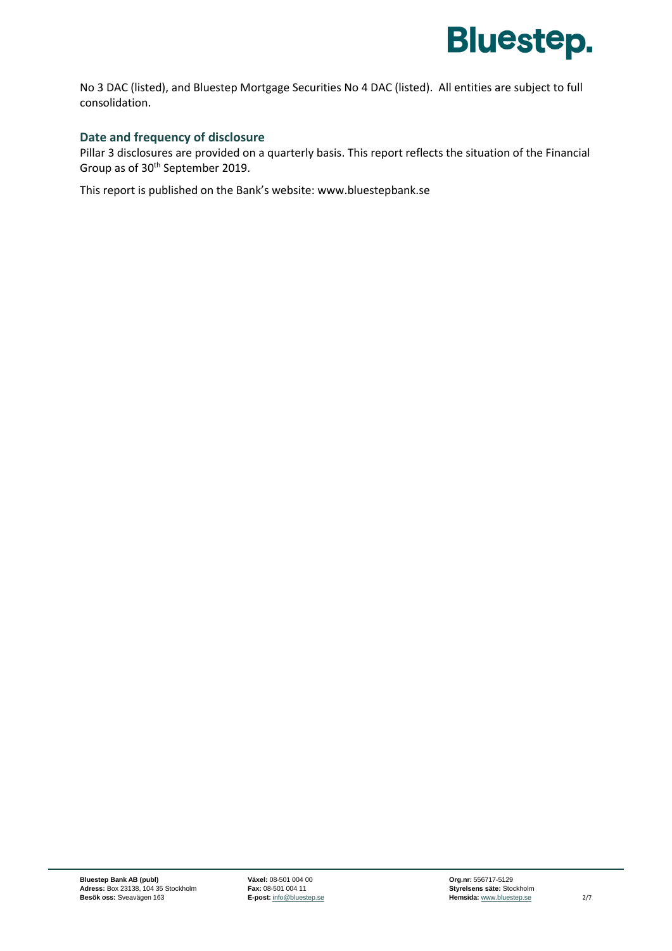

No 3 DAC (listed), and Bluestep Mortgage Securities No 4 DAC (listed). All entities are subject to full consolidation.

#### **Date and frequency of disclosure**

Pillar 3 disclosures are provided on a quarterly basis. This report reflects the situation of the Financial Group as of 30<sup>th</sup> September 2019.

This report is published on the Bank's website: [www.bluestepbank.se](http://www.bluestepbank.se/)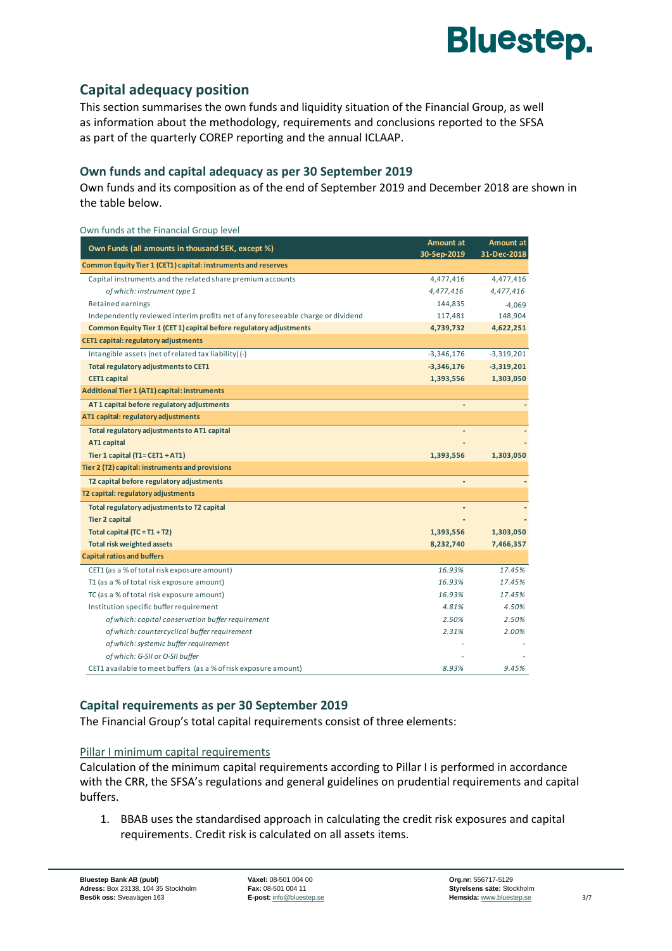

## **Capital adequacy position**

This section summarises the own funds and liquidity situation of the Financial Group, as well as information about the methodology, requirements and conclusions reported to the SFSA as part of the quarterly COREP reporting and the annual ICLAAP.

#### **Own funds and capital adequacy as per 30 September 2019**

Own funds and its composition as of the end of September 2019 and December 2018 are shown in the table below.

| Own funds at the Financial Group level                                           |              |                  |
|----------------------------------------------------------------------------------|--------------|------------------|
| Own Funds (all amounts in thousand SEK, except %)                                | Amount at    | <b>Amount at</b> |
|                                                                                  | 30-Sep-2019  | 31-Dec-2018      |
| Common Equity Tier 1 (CET1) capital: instruments and reserves                    |              |                  |
| Capital instruments and the related share premium accounts                       | 4,477,416    | 4,477,416        |
| of which: instrument type 1                                                      | 4,477,416    | 4,477,416        |
| Retained earnings                                                                | 144,835      | $-4,069$         |
| Independently reviewed interim profits net of any foreseeable charge or dividend | 117,481      | 148,904          |
| Common Equity Tier 1 (CET 1) capital before regulatory adjustments               | 4,739,732    | 4,622,251        |
| <b>CET1 capital: regulatory adjustments</b>                                      |              |                  |
| Intangible assets (net of related tax liability) (-)                             | $-3,346,176$ | $-3,319,201$     |
| Total regulatory adjustments to CET1                                             | $-3,346,176$ | $-3,319,201$     |
| <b>CET1 capital</b>                                                              | 1,393,556    | 1,303,050        |
| <b>Additional Tier 1 (AT1) capital: instruments</b>                              |              |                  |
| AT1 capital before regulatory adjustments                                        |              |                  |
| AT1 capital: regulatory adjustments                                              |              |                  |
| Total regulatory adjustments to AT1 capital                                      |              |                  |
| AT1 capital                                                                      |              |                  |
| Tier 1 capital $(T1 = CET1 + AT1)$                                               | 1,393,556    | 1,303,050        |
| Tier 2 (T2) capital: instruments and provisions                                  |              |                  |
| T2 capital before regulatory adjustments                                         |              |                  |
| T2 capital: regulatory adjustments                                               |              |                  |
| Total regulatory adjustments to T2 capital                                       |              |                  |
| <b>Tier 2 capital</b>                                                            |              |                  |
| Total capital $(TC = T1 + T2)$                                                   | 1,393,556    | 1,303,050        |
| <b>Total risk weighted assets</b>                                                | 8,232,740    | 7,466,357        |
| <b>Capital ratios and buffers</b>                                                |              |                  |
| CET1 (as a % of total risk exposure amount)                                      | 16.93%       | 17.45%           |
| T1 (as a % of total risk exposure amount)                                        | 16.93%       | 17.45%           |
| TC (as a % of total risk exposure amount)                                        | 16.93%       | 17.45%           |
| Institution specific buffer requirement                                          | 4.81%        | 4.50%            |
| of which: capital conservation buffer requirement                                | 2.50%        | 2.50%            |
| of which: countercyclical buffer requirement                                     | 2.31%        | 2.00%            |
| of which: systemic buffer requirement                                            |              |                  |
| of which: G-SII or O-SII buffer                                                  |              |                  |
| CET1 available to meet buffers (as a % of risk exposure amount)                  | 8.93%        | 9.45%            |

#### **Capital requirements as per 30 September 2019**

The Financial Group's total capital requirements consist of three elements:

#### Pillar I minimum capital requirements

Calculation of the minimum capital requirements according to Pillar I is performed in accordance with the CRR, the SFSA's regulations and general guidelines on prudential requirements and capital buffers.

1. BBAB uses the standardised approach in calculating the credit risk exposures and capital requirements. Credit risk is calculated on all assets items.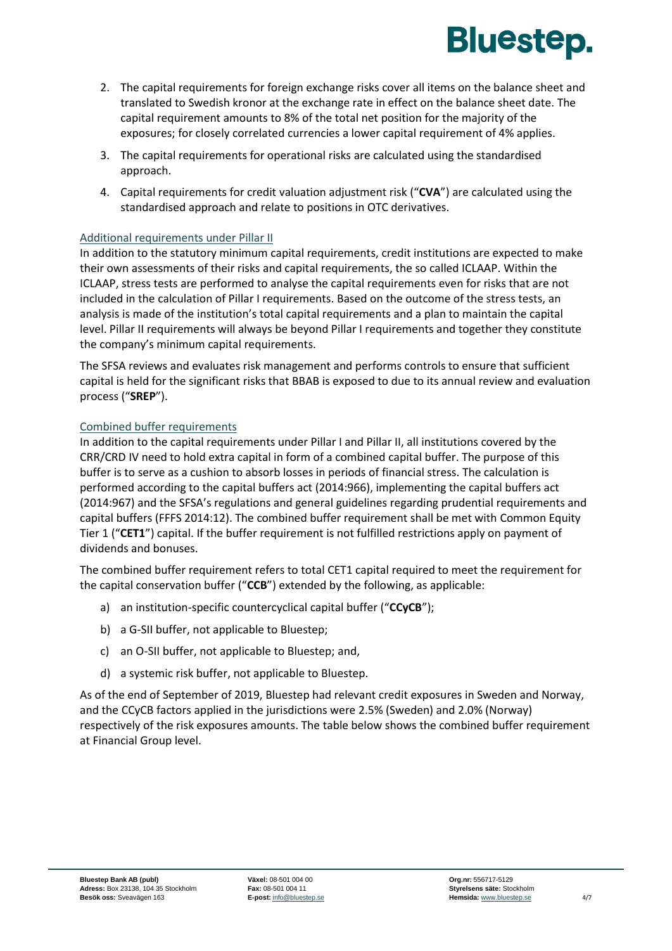

- 2. The capital requirements for foreign exchange risks cover all items on the balance sheet and translated to Swedish kronor at the exchange rate in effect on the balance sheet date. The capital requirement amounts to 8% of the total net position for the majority of the exposures; for closely correlated currencies a lower capital requirement of 4% applies.
- 3. The capital requirements for operational risks are calculated using the standardised approach.
- 4. Capital requirements for credit valuation adjustment risk ("**CVA**") are calculated using the standardised approach and relate to positions in OTC derivatives.

#### Additional requirements under Pillar II

In addition to the statutory minimum capital requirements, credit institutions are expected to make their own assessments of their risks and capital requirements, the so called ICLAAP. Within the ICLAAP, stress tests are performed to analyse the capital requirements even for risks that are not included in the calculation of Pillar I requirements. Based on the outcome of the stress tests, an analysis is made of the institution's total capital requirements and a plan to maintain the capital level. Pillar II requirements will always be beyond Pillar I requirements and together they constitute the company's minimum capital requirements.

The SFSA reviews and evaluates risk management and performs controls to ensure that sufficient capital is held for the significant risks that BBAB is exposed to due to its annual review and evaluation process ("**SREP**").

#### Combined buffer requirements

In addition to the capital requirements under Pillar I and Pillar II, all institutions covered by the CRR/CRD IV need to hold extra capital in form of a combined capital buffer. The purpose of this buffer is to serve as a cushion to absorb losses in periods of financial stress. The calculation is performed according to the capital buffers act (2014:966), implementing the capital buffers act (2014:967) and the SFSA's regulations and general guidelines regarding prudential requirements and capital buffers (FFFS 2014:12). The combined buffer requirement shall be met with Common Equity Tier 1 ("**CET1**") capital. If the buffer requirement is not fulfilled restrictions apply on payment of dividends and bonuses.

The combined buffer requirement refers to total CET1 capital required to meet the requirement for the capital conservation buffer ("**CCB**") extended by the following, as applicable:

- a) an institution-specific countercyclical capital buffer ("**CCyCB**");
- b) a G-SII buffer, not applicable to Bluestep;
- c) an O-SII buffer, not applicable to Bluestep; and,
- d) a systemic risk buffer, not applicable to Bluestep.

As of the end of September of 2019, Bluestep had relevant credit exposures in Sweden and Norway, and the CCyCB factors applied in the jurisdictions were 2.5% (Sweden) and 2.0% (Norway) respectively of the risk exposures amounts. The table below shows the combined buffer requirement at Financial Group level.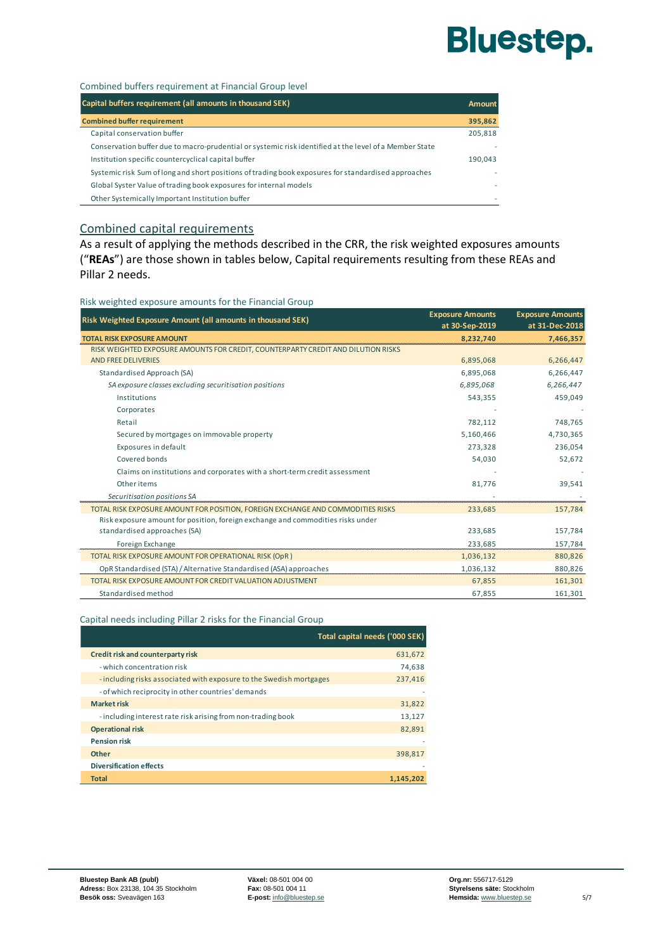# **Bluestep.**

#### Combined buffers requirement at Financial Group level

| Capital buffers requirement (all amounts in thousand SEK)                                              | <b>Amount</b> |
|--------------------------------------------------------------------------------------------------------|---------------|
| <b>Combined buffer requirement</b>                                                                     | 395.862       |
| Capital conservation buffer                                                                            | 205,818       |
| Conservation buffer due to macro-prudential or systemic risk identified at the level of a Member State | ٠             |
| Institution specific countercyclical capital buffer                                                    | 190.043       |
| Systemic risk Sum of long and short positions of trading book exposures for standardised approaches    | ۰             |
| Global Syster Value of trading book exposures for internal models                                      |               |
| Other Systemically Important Institution buffer                                                        | ۰             |

#### Combined capital requirements

As a result of applying the methods described in the CRR, the risk weighted exposures amounts ("**REAs**") are those shown in tables below, Capital requirements resulting from these REAs and Pillar 2 needs.

Risk weighted exposure amounts for the Financial Group

| Risk Weighted Exposure Amount (all amounts in thousand SEK)                       | <b>Exposure Amounts</b><br>at 30-Sep-2019 | <b>Exposure Amounts</b><br>at 31-Dec-2018 |
|-----------------------------------------------------------------------------------|-------------------------------------------|-------------------------------------------|
| <b>TOTAL RISK EXPOSURE AMOUNT</b>                                                 | 8.232.740                                 | 7,466,357                                 |
| RISK WEIGHTED EXPOSURE AMOUNTS FOR CREDIT, COUNTERPARTY CREDIT AND DILUTION RISKS |                                           |                                           |
| <b>AND FREE DELIVERIES</b>                                                        | 6,895,068                                 | 6,266,447                                 |
| Standardised Approach (SA)                                                        | 6,895,068                                 | 6,266,447                                 |
| SA exposure classes excluding securitisation positions                            | 6,895,068                                 | 6,266,447                                 |
| Institutions                                                                      | 543,355                                   | 459,049                                   |
| Corporates                                                                        |                                           |                                           |
| Retail                                                                            | 782,112                                   | 748,765                                   |
| Secured by mortgages on immovable property                                        | 5,160,466                                 | 4,730,365                                 |
| Exposures in default                                                              | 273,328                                   | 236,054                                   |
| Covered bonds                                                                     | 54,030                                    | 52,672                                    |
| Claims on institutions and corporates with a short-term credit assessment         |                                           |                                           |
| Other items                                                                       | 81,776                                    | 39,541                                    |
| Securitisation positions SA                                                       |                                           |                                           |
| TOTAL RISK EXPOSURE AMOUNT FOR POSITION, FOREIGN EXCHANGE AND COMMODITIES RISKS   | 233,685                                   | 157,784                                   |
| Risk exposure amount for position, foreign exchange and commodities risks under   |                                           |                                           |
| standardised approaches (SA)                                                      | 233,685                                   | 157,784                                   |
| Foreign Exchange                                                                  | 233,685                                   | 157,784                                   |
| TOTAL RISK EXPOSURE AMOUNT FOR OPERATIONAL RISK (OpR)                             | 1,036,132                                 | 880,826                                   |
| OpR Standardised (STA) / Alternative Standardised (ASA) approaches                | 1,036,132                                 | 880.826                                   |
| TOTAL RISK EXPOSURE AMOUNT FOR CREDIT VALUATION ADJUSTMENT                        | 67,855                                    | 161,301                                   |
| Standardised method                                                               | 67,855                                    | 161,301                                   |

#### Capital needs including Pillar 2 risks for the Financial Group

|                                                                    | Total capital needs ('000 SEK) |
|--------------------------------------------------------------------|--------------------------------|
| Credit risk and counterparty risk                                  | 631,672                        |
| - which concentration risk                                         | 74,638                         |
| -including risks associated with exposure to the Swedish mortgages | 237,416                        |
| - of which reciprocity in other countries' demands                 |                                |
| <b>Market risk</b>                                                 | 31,822                         |
| - including interest rate risk arising from non-trading book       | 13,127                         |
| <b>Operational risk</b>                                            | 82,891                         |
| <b>Pension risk</b>                                                |                                |
| <b>Other</b>                                                       | 398,817                        |
| <b>Diversification effects</b>                                     |                                |
| <b>Total</b>                                                       | 1.145.202                      |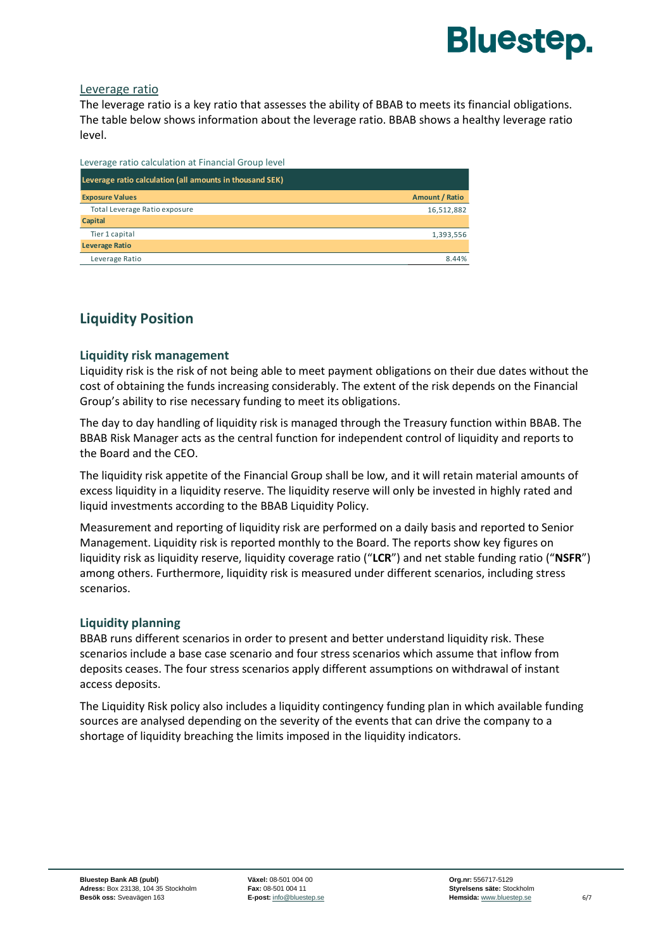

#### Leverage ratio

The leverage ratio is a key ratio that assesses the ability of BBAB to meets its financial obligations. The table below shows information about the leverage ratio. BBAB shows a healthy leverage ratio level.

| Leverage ratio calculation at Financial Group level      |                |
|----------------------------------------------------------|----------------|
| Leverage ratio calculation (all amounts in thousand SEK) |                |
| <b>Exposure Values</b>                                   | Amount / Ratio |
| Total Leverage Ratio exposure                            | 16,512,882     |
| Capital                                                  |                |
| Tier 1 capital                                           | 1,393,556      |
| <b>Leverage Ratio</b>                                    |                |
| Leverage Ratio                                           | 8.44%          |

### **Liquidity Position**

#### **Liquidity risk management**

Liquidity risk is the risk of not being able to meet payment obligations on their due dates without the cost of obtaining the funds increasing considerably. The extent of the risk depends on the Financial Group's ability to rise necessary funding to meet its obligations.

The day to day handling of liquidity risk is managed through the Treasury function within BBAB. The BBAB Risk Manager acts as the central function for independent control of liquidity and reports to the Board and the CEO.

The liquidity risk appetite of the Financial Group shall be low, and it will retain material amounts of excess liquidity in a liquidity reserve. The liquidity reserve will only be invested in highly rated and liquid investments according to the BBAB Liquidity Policy.

Measurement and reporting of liquidity risk are performed on a daily basis and reported to Senior Management. Liquidity risk is reported monthly to the Board. The reports show key figures on liquidity risk as liquidity reserve, liquidity coverage ratio ("**LCR**") and net stable funding ratio ("**NSFR**") among others. Furthermore, liquidity risk is measured under different scenarios, including stress scenarios.

#### **Liquidity planning**

BBAB runs different scenarios in order to present and better understand liquidity risk. These scenarios include a base case scenario and four stress scenarios which assume that inflow from deposits ceases. The four stress scenarios apply different assumptions on withdrawal of instant access deposits.

The Liquidity Risk policy also includes a liquidity contingency funding plan in which available funding sources are analysed depending on the severity of the events that can drive the company to a shortage of liquidity breaching the limits imposed in the liquidity indicators.